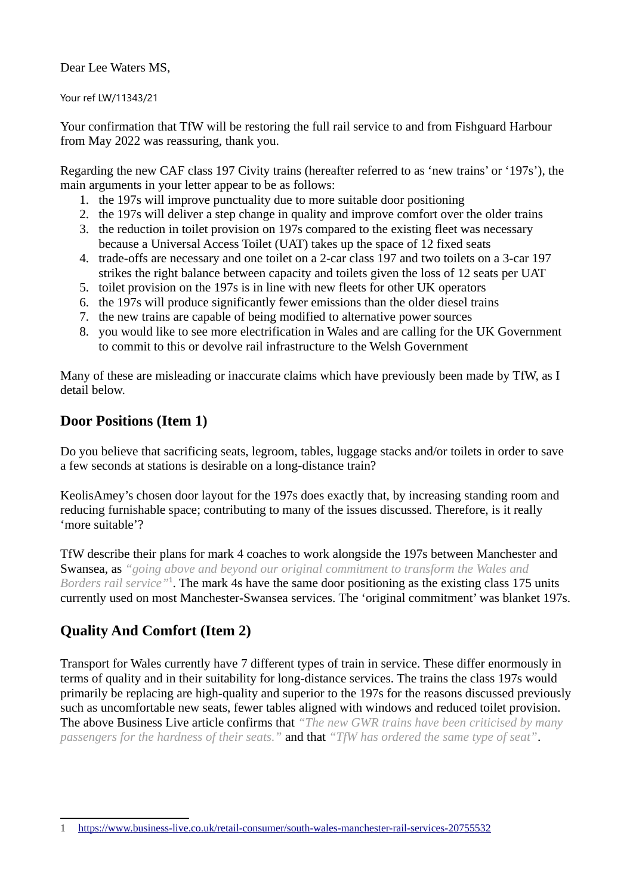Dear Lee Waters MS,

Your ref LW/11343/21

Your confirmation that TfW will be restoring the full rail service to and from Fishguard Harbour from May 2022 was reassuring, thank you.

Regarding the new CAF class 197 Civity trains (hereafter referred to as 'new trains' or '197s'), the main arguments in your letter appear to be as follows:

- 1. the 197s will improve punctuality due to more suitable door positioning
- 2. the 197s will deliver a step change in quality and improve comfort over the older trains
- 3. the reduction in toilet provision on 197s compared to the existing fleet was necessary because a Universal Access Toilet (UAT) takes up the space of 12 fixed seats
- 4. trade-offs are necessary and one toilet on a 2-car class 197 and two toilets on a 3-car 197 strikes the right balance between capacity and toilets given the loss of 12 seats per UAT
- 5. toilet provision on the 197s is in line with new fleets for other UK operators
- 6. the 197s will produce significantly fewer emissions than the older diesel trains
- 7. the new trains are capable of being modified to alternative power sources
- 8. you would like to see more electrification in Wales and are calling for the UK Government to commit to this or devolve rail infrastructure to the Welsh Government

Many of these are misleading or inaccurate claims which have previously been made by TfW, as I detail below.

#### **Door Positions (Item 1)**

Do you believe that sacrificing seats, legroom, tables, luggage stacks and/or toilets in order to save a few seconds at stations is desirable on a long-distance train?

KeolisAmey's chosen door layout for the 197s does exactly that, by increasing standing room and reducing furnishable space; contributing to many of the issues discussed. Therefore, is it really 'more suitable'?

TfW describe their plans for mark 4 coaches to work alongside the 197s between Manchester and Swansea, as *"going above and beyond our original commitment to transform the Wales and*  Borders rail service<sup>"[1](#page-0-0)</sup>. The mark 4s have the same door positioning as the existing class 175 units currently used on most Manchester-Swansea services. The 'original commitment' was blanket 197s.

# **Quality And Comfort (Item 2)**

Transport for Wales currently have 7 different types of train in service. These differ enormously in terms of quality and in their suitability for long-distance services. The trains the class 197s would primarily be replacing are high-quality and superior to the 197s for the reasons discussed previously such as uncomfortable new seats, fewer tables aligned with windows and reduced toilet provision. The above Business Live article confirms that *"The new GWR trains have been criticised by many passengers for the hardness of their seats."* and that *"TfW has ordered the same type of seat"*.

<span id="page-0-0"></span><sup>1</sup><https://www.business-live.co.uk/retail-consumer/south-wales-manchester-rail-services-20755532>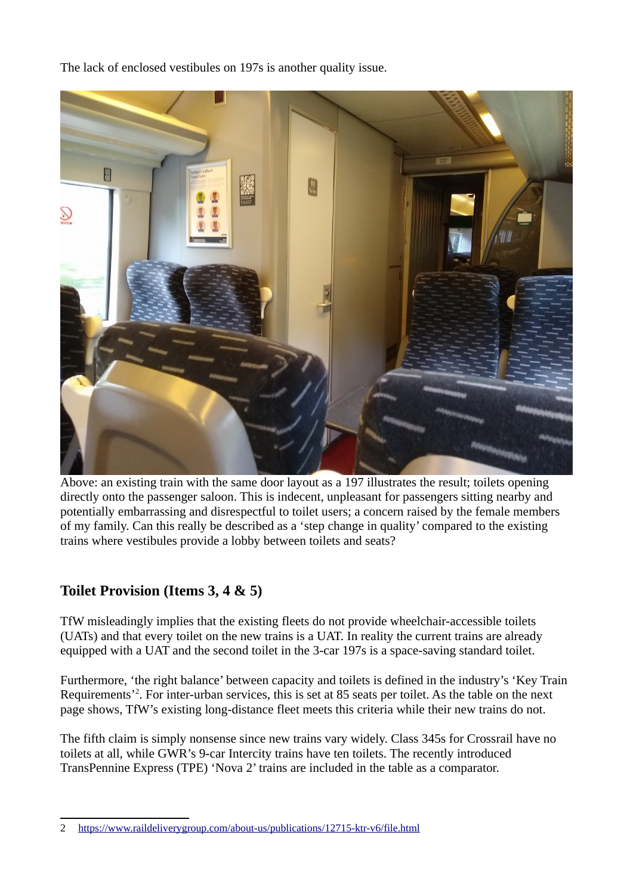The lack of enclosed vestibules on 197s is another quality issue.



Above: an existing train with the same door layout as a 197 illustrates the result; toilets opening directly onto the passenger saloon. This is indecent, unpleasant for passengers sitting nearby and potentially embarrassing and disrespectful to toilet users; a concern raised by the female members of my family. Can this really be described as a 'step change in quality' compared to the existing trains where vestibules provide a lobby between toilets and seats?

### **Toilet Provision (Items 3, 4 & 5)**

TfW misleadingly implies that the existing fleets do not provide wheelchair-accessible toilets (UATs) and that every toilet on the new trains is a UAT. In reality the current trains are already equipped with a UAT and the second toilet in the 3-car 197s is a space-saving standard toilet.

Furthermore, 'the right balance' between capacity and toilets is defined in the industry's 'Key Train Requirements<sup>[2](#page-1-0)</sup>. For inter-urban services, this is set at 85 seats per toilet. As the table on the next page shows, TfW's existing long-distance fleet meets this criteria while their new trains do not.

The fifth claim is simply nonsense since new trains vary widely. Class 345s for Crossrail have no toilets at all, while GWR's 9-car Intercity trains have ten toilets. The recently introduced TransPennine Express (TPE) 'Nova 2' trains are included in the table as a comparator.

<span id="page-1-0"></span><sup>2</sup><https://www.raildeliverygroup.com/about-us/publications/12715-ktr-v6/file.html>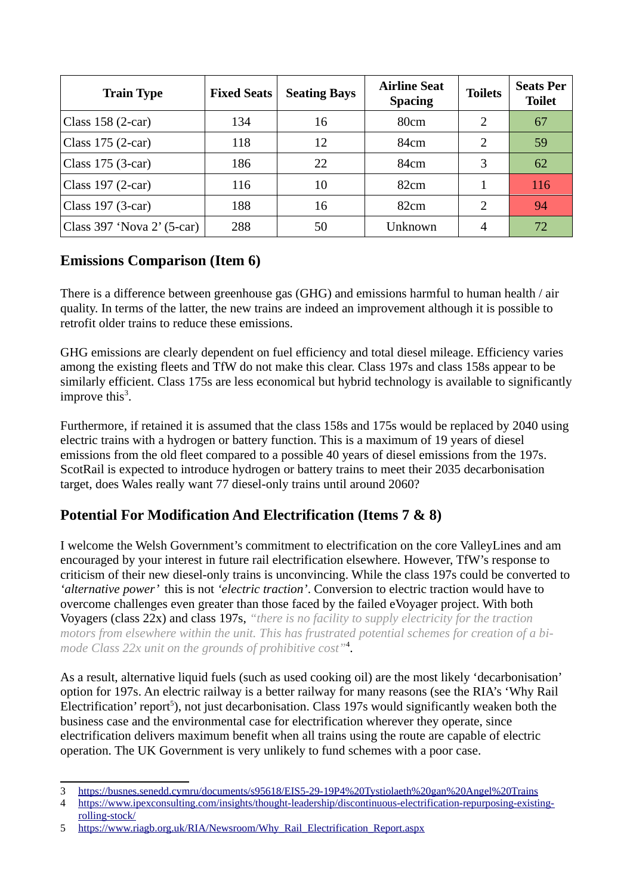| <b>Train Type</b>          | <b>Fixed Seats</b> | <b>Seating Bays</b> | <b>Airline Seat</b><br><b>Spacing</b> | <b>Toilets</b> | <b>Seats Per</b><br><b>Toilet</b> |
|----------------------------|--------------------|---------------------|---------------------------------------|----------------|-----------------------------------|
| Class $158(2-car)$         | 134                | 16                  | 80cm                                  | 2              | 67                                |
| Class $175(2-car)$         | 118                | 12                  | 84cm                                  | 2              | 59                                |
| Class $175(3-car)$         | 186                | 22                  | 84cm                                  | 3              | 62                                |
| Class $197(2-car)$         | 116                | 10                  | 82cm                                  |                | 116                               |
| Class $197$ (3-car)        | 188                | 16                  | 82cm                                  | 2              | 94                                |
| Class 397 'Nova 2' (5-car) | 288                | 50                  | Unknown                               | 4              | 72                                |

### **Emissions Comparison (Item 6)**

There is a difference between greenhouse gas (GHG) and emissions harmful to human health / air quality. In terms of the latter, the new trains are indeed an improvement although it is possible to retrofit older trains to reduce these emissions.

GHG emissions are clearly dependent on fuel efficiency and total diesel mileage. Efficiency varies among the existing fleets and TfW do not make this clear. Class 197s and class 158s appear to be similarly efficient. Class 175s are less economical but hybrid technology is available to significantly improve this $3$ .

Furthermore, if retained it is assumed that the class 158s and 175s would be replaced by 2040 using electric trains with a hydrogen or battery function. This is a maximum of 19 years of diesel emissions from the old fleet compared to a possible 40 years of diesel emissions from the 197s. ScotRail is expected to introduce hydrogen or battery trains to meet their 2035 decarbonisation target, does Wales really want 77 diesel-only trains until around 2060?

# **Potential For Modification And Electrification (Items 7 & 8)**

I welcome the Welsh Government's commitment to electrification on the core ValleyLines and am encouraged by your interest in future rail electrification elsewhere. However, TfW's response to criticism of their new diesel-only trains is unconvincing. While the class 197s could be converted to *'alternative power'* this is not *'electric traction'*. Conversion to electric traction would have to overcome challenges even greater than those faced by the failed eVoyager project. With both Voyagers (class 22x) and class 197s, *"there is no facility to supply electricity for the traction motors from elsewhere within the unit. This has frustrated potential schemes for creation of a bimode Class 22x unit on the grounds of prohibitive cost"* [4](#page-2-1) .

As a result, alternative liquid fuels (such as used cooking oil) are the most likely 'decarbonisation' option for 197s. An electric railway is a better railway for many reasons (see the RIA's 'Why Rail Electrification' report<sup>[5](#page-2-2)</sup>), not just decarbonisation. Class 197s would significantly weaken both the business case and the environmental case for electrification wherever they operate, since electrification delivers maximum benefit when all trains using the route are capable of electric operation. The UK Government is very unlikely to fund schemes with a poor case.

<span id="page-2-0"></span><sup>3</sup><https://busnes.senedd.cymru/documents/s95618/EIS5-29-19P4%20Tystiolaeth%20gan%20Angel%20Trains>

<span id="page-2-1"></span><sup>4</sup> [https://www.ipexconsulting.com/insights/thought-leadership/discontinuous-electrification-repurposing-existing](https://www.ipexconsulting.com/insights/thought-leadership/discontinuous-electrification-repurposing-existing-rolling-stock/)[rolling-stock/](https://www.ipexconsulting.com/insights/thought-leadership/discontinuous-electrification-repurposing-existing-rolling-stock/)

<span id="page-2-2"></span><sup>5</sup> [https://www.riagb.org.uk/RIA/Newsroom/Why\\_Rail\\_Electrification\\_Report.aspx](https://www.riagb.org.uk/RIA/Newsroom/Why_Rail_Electrification_Report.aspx)